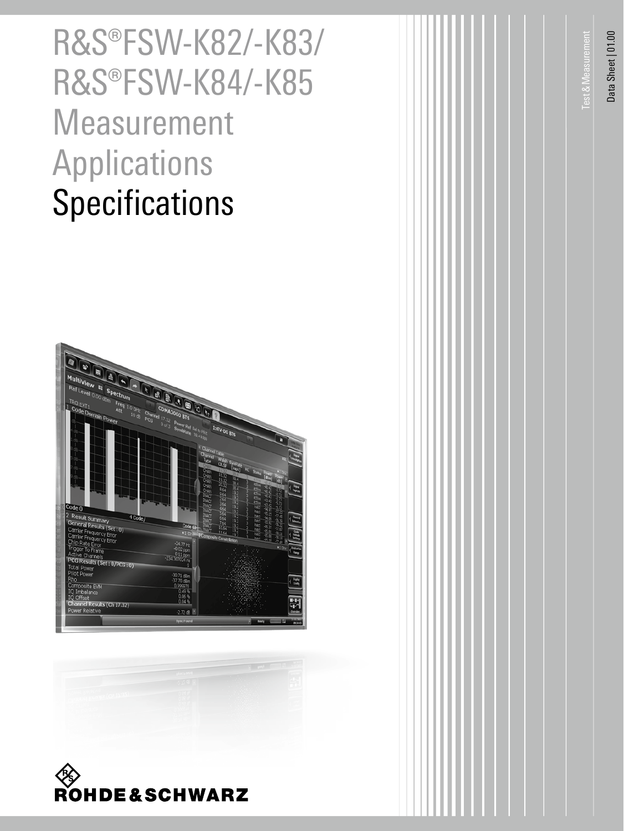# R&S®FSW-K82/-K83/ R&S®FSW-K84/-K85 Measurement Applications **Specifications**







Data Sheet | 01.00 Data Sheet | 01.00

Test&Measurement

est & Measurement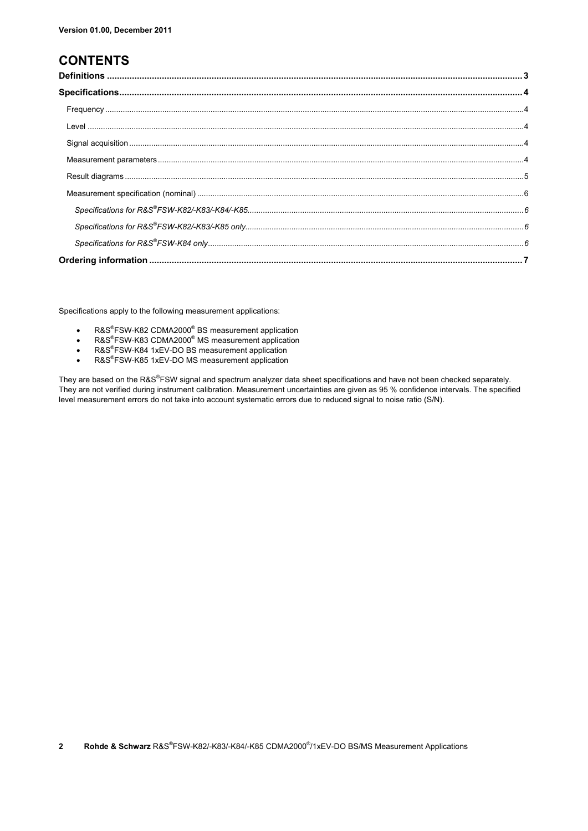## **CONTENTS**

Specifications apply to the following measurement applications:

- R&S®FSW-K82 CDMA2000<sup>®</sup> BS measurement application
- R&S®FSW-K83 CDMA2000<sup>®</sup> MS measurement application
- R&S®FSW-K84 1xEV-DO BS measurement application
- R&S®FSW-K85 1xEV-DO MS measurement application

They are based on the R&S®FSW signal and spectrum analyzer data sheet specifications and have not been checked separately. They are not verified during instrument calibration. Measurement uncertainties are given as 95 % confidence intervals. The specified level measurement errors do not take into account systematic errors due to reduced signal to noise ratio (S/N).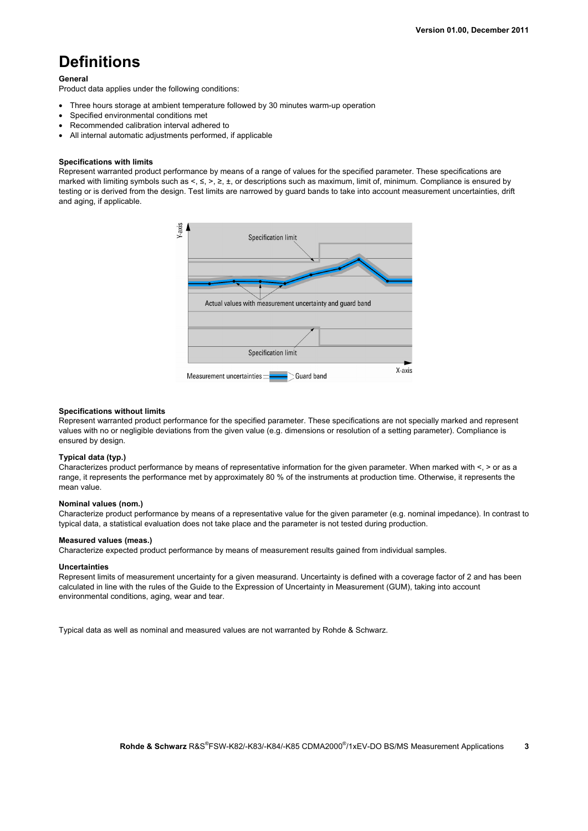# **Definitions**

#### **General**

Product data applies under the following conditions:

- Three hours storage at ambient temperature followed by 30 minutes warm-up operation
- Specified environmental conditions met
- Recommended calibration interval adhered to
- All internal automatic adjustments performed, if applicable

#### **Specifications with limits**

Represent warranted product performance by means of a range of values for the specified parameter. These specifications are marked with limiting symbols such as  $\lt, \lt, \gt, \gt, \gt, \gt, +$ , or descriptions such as maximum, limit of, minimum. Compliance is ensured by testing or is derived from the design. Test limits are narrowed by guard bands to take into account measurement uncertainties, drift and aging, if applicable.



#### **Specifications without limits**

Represent warranted product performance for the specified parameter. These specifications are not specially marked and represent values with no or negligible deviations from the given value (e.g. dimensions or resolution of a setting parameter). Compliance is ensured by design.

## **Typical data (typ.)**

Characterizes product performance by means of representative information for the given parameter. When marked with <, > or as a range, it represents the performance met by approximately 80 % of the instruments at production time. Otherwise, it represents the mean value.

## **Nominal values (nom.)**

Characterize product performance by means of a representative value for the given parameter (e.g. nominal impedance). In contrast to typical data, a statistical evaluation does not take place and the parameter is not tested during production.

#### **Measured values (meas.)**

Characterize expected product performance by means of measurement results gained from individual samples.

#### **Uncertainties**

Represent limits of measurement uncertainty for a given measurand. Uncertainty is defined with a coverage factor of 2 and has been calculated in line with the rules of the Guide to the Expression of Uncertainty in Measurement (GUM), taking into account environmental conditions, aging, wear and tear.

Typical data as well as nominal and measured values are not warranted by Rohde & Schwarz.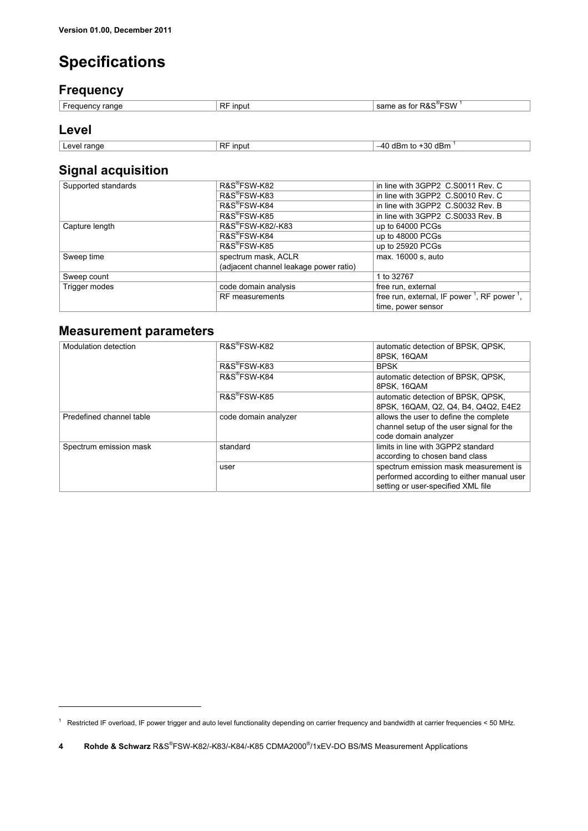## **Specifications**

## **Frequency**

| range<br>r reguer<br>- 1111 | <b>RF</b><br><b>INDU1</b> | ີຶFSW<br>່າວ ຕະ<br>$\sim$<br>$\sim$<br>tor<br>as<br>πα.<br>ור |
|-----------------------------|---------------------------|---------------------------------------------------------------|
|                             |                           |                                                               |

## **Level**

<u>.</u>

| range<br>AVAL<br>. . | RF<br>input | $\sim$<br>$\overline{\phantom{a}}$<br>$AD -$<br>SU UBII.<br>11.DI<br>ш. |
|----------------------|-------------|-------------------------------------------------------------------------|
|                      |             |                                                                         |

## **Signal acquisition**

| Supported standards | R&S®FSW-K82                            | in line with 3GPP2 C.S0011 Rev. C                                   |
|---------------------|----------------------------------------|---------------------------------------------------------------------|
|                     | R&S®FSW-K83                            | in line with 3GPP2 C.S0010 Rev. C                                   |
|                     | R&S®FSW-K84                            | in line with 3GPP2 C.S0032 Rev. B                                   |
|                     | R&S <sup>®</sup> FSW-K85               | in line with 3GPP2 C.S0033 Rev. B                                   |
| Capture length      | R&S®FSW-K82/-K83                       | up to 64000 PCGs                                                    |
|                     | R&S®FSW-K84                            | up to 48000 PCGs                                                    |
|                     | R&S®FSW-K85                            | up to 25920 PCGs                                                    |
| Sweep time          | spectrum mask, ACLR                    | max. 16000 s, auto                                                  |
|                     | (adjacent channel leakage power ratio) |                                                                     |
| Sweep count         |                                        | 1 to 32767                                                          |
| Trigger modes       | code domain analysis                   | free run, external                                                  |
|                     | <b>RF</b> measurements                 | free run, external, IF power <sup>1</sup> , RF power <sup>1</sup> , |
|                     |                                        | time, power sensor                                                  |

## **Measurement parameters**

| Modulation detection     | R&S®FSW-K82          | automatic detection of BPSK, QPSK,<br>8PSK. 16QAM                                                                        |
|--------------------------|----------------------|--------------------------------------------------------------------------------------------------------------------------|
|                          | R&S®FSW-K83          | <b>BPSK</b>                                                                                                              |
|                          | R&S®FSW-K84          | automatic detection of BPSK, QPSK,<br>8PSK, 16QAM                                                                        |
|                          | R&S®FSW-K85          | automatic detection of BPSK, QPSK,<br>8PSK, 16QAM, Q2, Q4, B4, Q4Q2, E4E2                                                |
| Predefined channel table | code domain analyzer | allows the user to define the complete<br>channel setup of the user signal for the<br>code domain analyzer               |
| Spectrum emission mask   | standard             | limits in line with 3GPP2 standard<br>according to chosen band class                                                     |
|                          | user                 | spectrum emission mask measurement is<br>performed according to either manual user<br>setting or user-specified XML file |

<sup>1</sup> Restricted IF overload, IF power trigger and auto level functionality depending on carrier frequency and bandwidth at carrier frequencies < 50 MHz.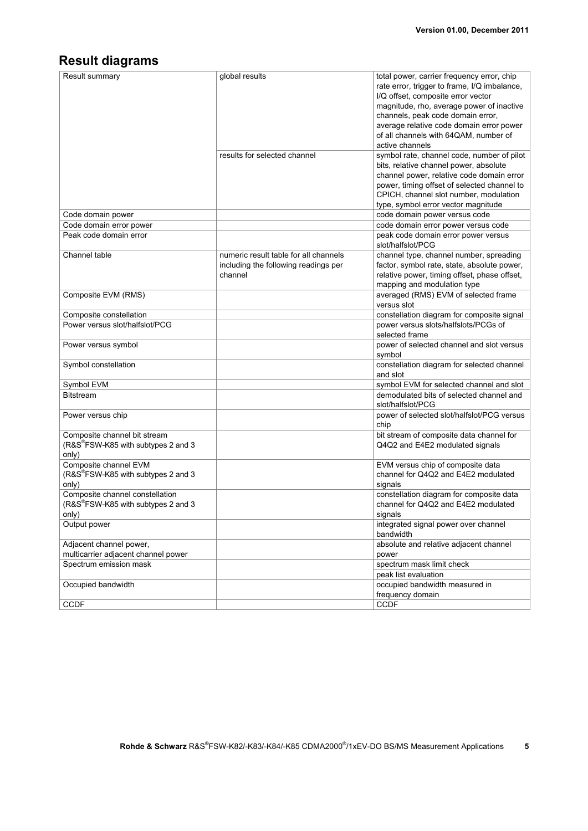## **Result diagrams**

| Result summary                                  | global results                        | total power, carrier frequency error, chip<br>rate error, trigger to frame, I/Q imbalance,<br>I/Q offset, composite error vector |
|-------------------------------------------------|---------------------------------------|----------------------------------------------------------------------------------------------------------------------------------|
|                                                 |                                       | magnitude, rho, average power of inactive<br>channels, peak code domain error,                                                   |
|                                                 |                                       | average relative code domain error power                                                                                         |
|                                                 |                                       | of all channels with 64QAM, number of                                                                                            |
|                                                 |                                       | active channels                                                                                                                  |
|                                                 |                                       |                                                                                                                                  |
|                                                 | results for selected channel          | symbol rate, channel code, number of pilot                                                                                       |
|                                                 |                                       | bits, relative channel power, absolute                                                                                           |
|                                                 |                                       | channel power, relative code domain error                                                                                        |
|                                                 |                                       | power, timing offset of selected channel to                                                                                      |
|                                                 |                                       | CPICH, channel slot number, modulation                                                                                           |
|                                                 |                                       | type, symbol error vector magnitude                                                                                              |
| Code domain power                               |                                       | code domain power versus code                                                                                                    |
| Code domain error power                         |                                       | code domain error power versus code                                                                                              |
| Peak code domain error                          |                                       | peak code domain error power versus<br>slot/halfslot/PCG                                                                         |
| Channel table                                   | numeric result table for all channels | channel type, channel number, spreading                                                                                          |
|                                                 | including the following readings per  | factor, symbol rate, state, absolute power,                                                                                      |
|                                                 | channel                               | relative power, timing offset, phase offset,                                                                                     |
|                                                 |                                       | mapping and modulation type                                                                                                      |
| Composite EVM (RMS)                             |                                       | averaged (RMS) EVM of selected frame                                                                                             |
|                                                 |                                       | versus slot                                                                                                                      |
| Composite constellation                         |                                       | constellation diagram for composite signal                                                                                       |
| Power versus slot/halfslot/PCG                  |                                       | power versus slots/halfslots/PCGs of                                                                                             |
|                                                 |                                       | selected frame                                                                                                                   |
| Power versus symbol                             |                                       | power of selected channel and slot versus                                                                                        |
|                                                 |                                       | symbol                                                                                                                           |
| Symbol constellation                            |                                       | constellation diagram for selected channel                                                                                       |
|                                                 |                                       | and slot                                                                                                                         |
| Symbol EVM                                      |                                       | symbol EVM for selected channel and slot                                                                                         |
| <b>Bitstream</b>                                |                                       | demodulated bits of selected channel and<br>slot/halfslot/PCG                                                                    |
| Power versus chip                               |                                       | power of selected slot/halfslot/PCG versus<br>chip                                                                               |
| Composite channel bit stream                    |                                       | bit stream of composite data channel for                                                                                         |
| (R&S <sup>®</sup> FSW-K85 with subtypes 2 and 3 |                                       | Q4Q2 and E4E2 modulated signals                                                                                                  |
| only)                                           |                                       |                                                                                                                                  |
| Composite channel EVM                           |                                       | EVM versus chip of composite data                                                                                                |
| (R&S®FSW-K85 with subtypes 2 and 3              |                                       | channel for Q4Q2 and E4E2 modulated                                                                                              |
| only)                                           |                                       | signals                                                                                                                          |
| Composite channel constellation                 |                                       | constellation diagram for composite data                                                                                         |
| (R&S <sup>®</sup> FSW-K85 with subtypes 2 and 3 |                                       | channel for Q4Q2 and E4E2 modulated                                                                                              |
| only)                                           |                                       | signals                                                                                                                          |
| Output power                                    |                                       | integrated signal power over channel                                                                                             |
|                                                 |                                       | bandwidth                                                                                                                        |
| Adjacent channel power,                         |                                       | absolute and relative adjacent channel                                                                                           |
| multicarrier adjacent channel power             |                                       | power                                                                                                                            |
| Spectrum emission mask                          |                                       | spectrum mask limit check                                                                                                        |
|                                                 |                                       | peak list evaluation                                                                                                             |
| Occupied bandwidth                              |                                       | occupied bandwidth measured in                                                                                                   |
|                                                 |                                       | frequency domain                                                                                                                 |
| CCDF                                            |                                       | CCDF                                                                                                                             |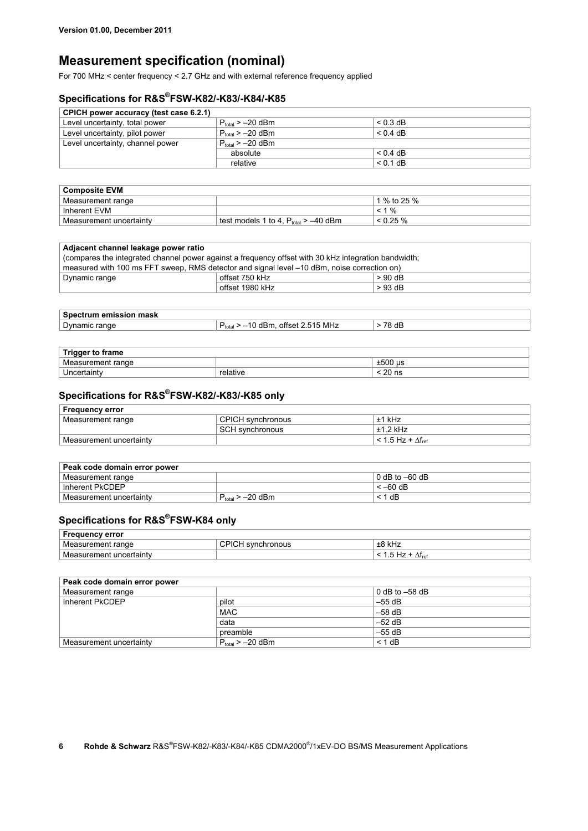## **Measurement specification (nominal)**

For 700 MHz < center frequency < 2.7 GHz and with external reference frequency applied

## **Specifications for R&S® FSW-K82/-K83/-K84/-K85**

| CPICH power accuracy (test case 6.2.1) |                       |            |  |
|----------------------------------------|-----------------------|------------|--|
| Level uncertainty, total power         | $P_{total} > -20$ dBm | $< 0.3$ dB |  |
| Level uncertainty, pilot power         | $P_{total} > -20$ dBm | $< 0.4$ dB |  |
| Level uncertainty, channel power       | $P_{total} > -20$ dBm |            |  |
|                                        | absolute              | $< 0.4$ dB |  |
|                                        | relative              | $< 0.1$ dB |  |

| <b>Composite EVM</b>    |                                           |                  |
|-------------------------|-------------------------------------------|------------------|
| Measurement range       |                                           | 1 % to 25 %      |
| ˈ Inherent EVM          |                                           | $\frac{9}{6}$    |
| Measurement uncertainty | test models 1 to 4, $P_{total} > -40$ dBm | $\leq$ 0.25 $\%$ |

| Adjacent channel leakage power ratio                                                                 |                 |           |
|------------------------------------------------------------------------------------------------------|-----------------|-----------|
| (compares the integrated channel power against a frequency offset with 30 kHz integration bandwidth; |                 |           |
| measured with 100 ms FFT sweep, RMS detector and signal level -10 dBm, noise correction on)          |                 |           |
| Dynamic range                                                                                        | offset 750 kHz  | $> 90$ dB |
|                                                                                                      | offset 1980 kHz | $>93$ dB  |

| mask<br>.<br>en<br>п |                                                 |                                |
|----------------------|-------------------------------------------------|--------------------------------|
| Dynam<br>range<br>ШC | MHz<br>$- -$<br>offset<br>575<br>,,,,,<br>totai | $\overline{\phantom{a}}$<br>dB |

| <b>Trigger to frame</b> |          |                 |
|-------------------------|----------|-----------------|
| Measurement range       |          | ±500<br>۱us     |
| Jncertaintv             | ≅elative | $\sim$<br>20 ns |

## **Specifications for R&S® FSW-K82/-K83/-K85 only**

| <b>Frequency error</b>  |                   |                               |
|-------------------------|-------------------|-------------------------------|
| Measurement range       | CPICH synchronous | $±1$ kHz                      |
|                         | SCH synchronous   | $±1.2$ kHz                    |
| Measurement uncertainty |                   | $< 1.5$ Hz + $\Delta f_{ref}$ |

| Peak code domain error power |                       |                  |  |  |
|------------------------------|-----------------------|------------------|--|--|
| Measurement range            |                       | 0 dB to $-60$ dB |  |  |
| Inherent PkCDEP              |                       | $<-60$ dB        |  |  |
| Measurement uncertainty      | $P_{total} > -20$ dBm | < 1 dB           |  |  |

## **Specifications for R&S® FSW-K84 only**

| <b>Frequency error</b>  |                       |                         |
|-------------------------|-----------------------|-------------------------|
| Measurement range       | l svnchronous<br>UMUN | ±8<br>kHz               |
| Measurement uncertainty |                       | $\Delta\rm I_{\rm ref}$ |

| Peak code domain error power |                       |                    |  |  |
|------------------------------|-----------------------|--------------------|--|--|
| Measurement range            |                       | $0 dB$ to $-58 dB$ |  |  |
| Inherent PkCDEP              | pilot                 | $-55$ dB           |  |  |
|                              | <b>MAC</b>            | $-58$ dB           |  |  |
|                              | data                  | $-52$ dB           |  |  |
|                              | preamble              | $-55$ dB           |  |  |
| Measurement uncertainty      | $P_{total} > -20$ dBm | $< 1$ dB           |  |  |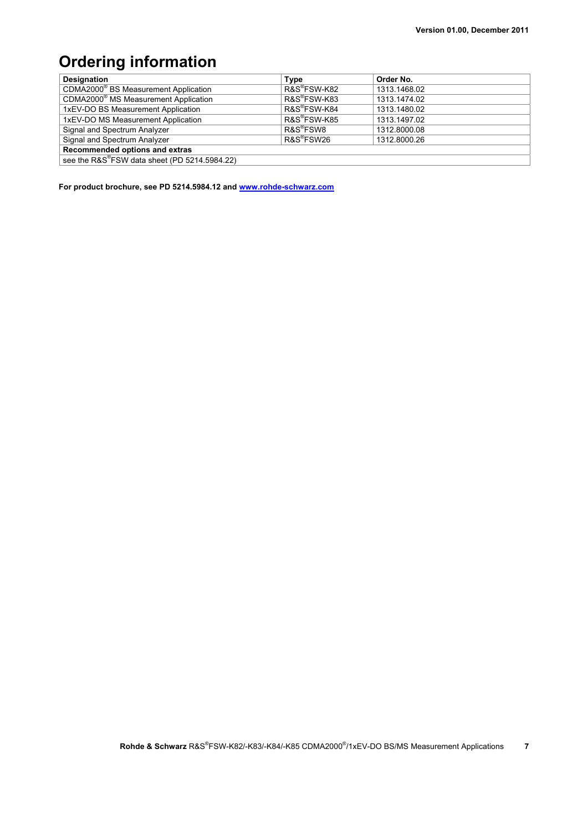# **Ordering information**

| <b>Designation</b>                               | <b>Type</b>              | Order No.    |  |  |
|--------------------------------------------------|--------------------------|--------------|--|--|
| CDMA2000 <sup>®</sup> BS Measurement Application | R&S®FSW-K82              | 1313.1468.02 |  |  |
| CDMA2000 <sup>®</sup> MS Measurement Application | R&S <sup>®</sup> FSW-K83 | 1313.1474.02 |  |  |
| 1xEV-DO BS Measurement Application               | R&S <sup>®</sup> FSW-K84 | 1313.1480.02 |  |  |
| 1xEV-DO MS Measurement Application               | R&S <sup>®</sup> FSW-K85 | 1313.1497.02 |  |  |
| Signal and Spectrum Analyzer                     | R&S <sup>®</sup> FSW8    | 1312.8000.08 |  |  |
| Signal and Spectrum Analyzer                     | R&S <sup>®</sup> FSW26   | 1312.8000.26 |  |  |
| Recommended options and extras                   |                          |              |  |  |
| see the R&S®FSW data sheet (PD 5214.5984.22)     |                          |              |  |  |

**For product brochure, see PD 5214.5984.12 and www.rohde-schwarz.com**